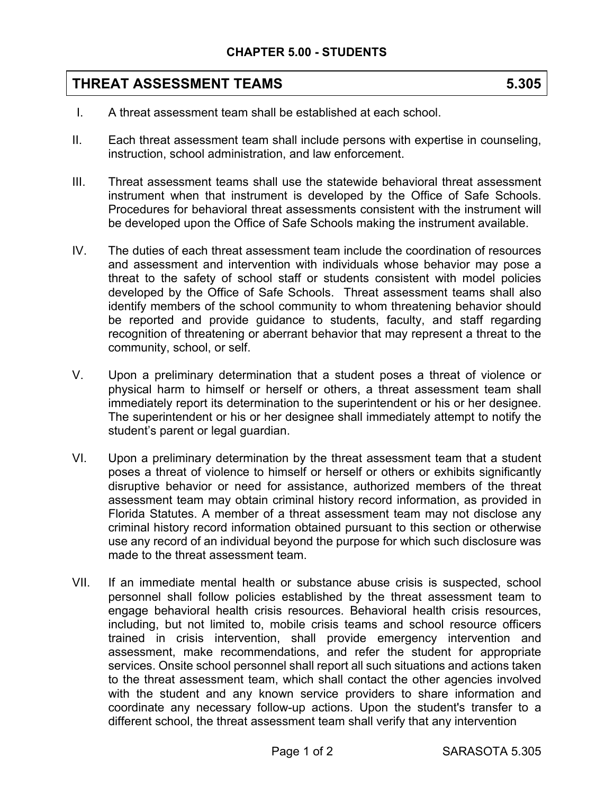## **THREAT ASSESSMENT TEAMS 5.305**

- I. A threat assessment team shall be established at each school.
- II. Each threat assessment team shall include persons with expertise in counseling, instruction, school administration, and law enforcement.
- III. Threat assessment teams shall use the statewide behavioral threat assessment instrument when that instrument is developed by the Office of Safe Schools. Procedures for behavioral threat assessments consistent with the instrument will be developed upon the Office of Safe Schools making the instrument available.
- IV. The duties of each threat assessment team include the coordination of resources and assessment and intervention with individuals whose behavior may pose a threat to the safety of school staff or students consistent with model policies developed by the Office of Safe Schools. Threat assessment teams shall also identify members of the school community to whom threatening behavior should be reported and provide guidance to students, faculty, and staff regarding recognition of threatening or aberrant behavior that may represent a threat to the community, school, or self.
- V. Upon a preliminary determination that a student poses a threat of violence or physical harm to himself or herself or others, a threat assessment team shall immediately report its determination to the superintendent or his or her designee. The superintendent or his or her designee shall immediately attempt to notify the student's parent or legal guardian.
- VI. Upon a preliminary determination by the threat assessment team that a student poses a threat of violence to himself or herself or others or exhibits significantly disruptive behavior or need for assistance, authorized members of the threat assessment team may obtain criminal history record information, as provided in Florida Statutes. A member of a threat assessment team may not disclose any criminal history record information obtained pursuant to this section or otherwise use any record of an individual beyond the purpose for which such disclosure was made to the threat assessment team.
- VII. If an immediate mental health or substance abuse crisis is suspected, school personnel shall follow policies established by the threat assessment team to engage behavioral health crisis resources. Behavioral health crisis resources, including, but not limited to, mobile crisis teams and school resource officers trained in crisis intervention, shall provide emergency intervention and assessment, make recommendations, and refer the student for appropriate services. Onsite school personnel shall report all such situations and actions taken to the threat assessment team, which shall contact the other agencies involved with the student and any known service providers to share information and coordinate any necessary follow-up actions. Upon the student's transfer to a different school, the threat assessment team shall verify that any intervention